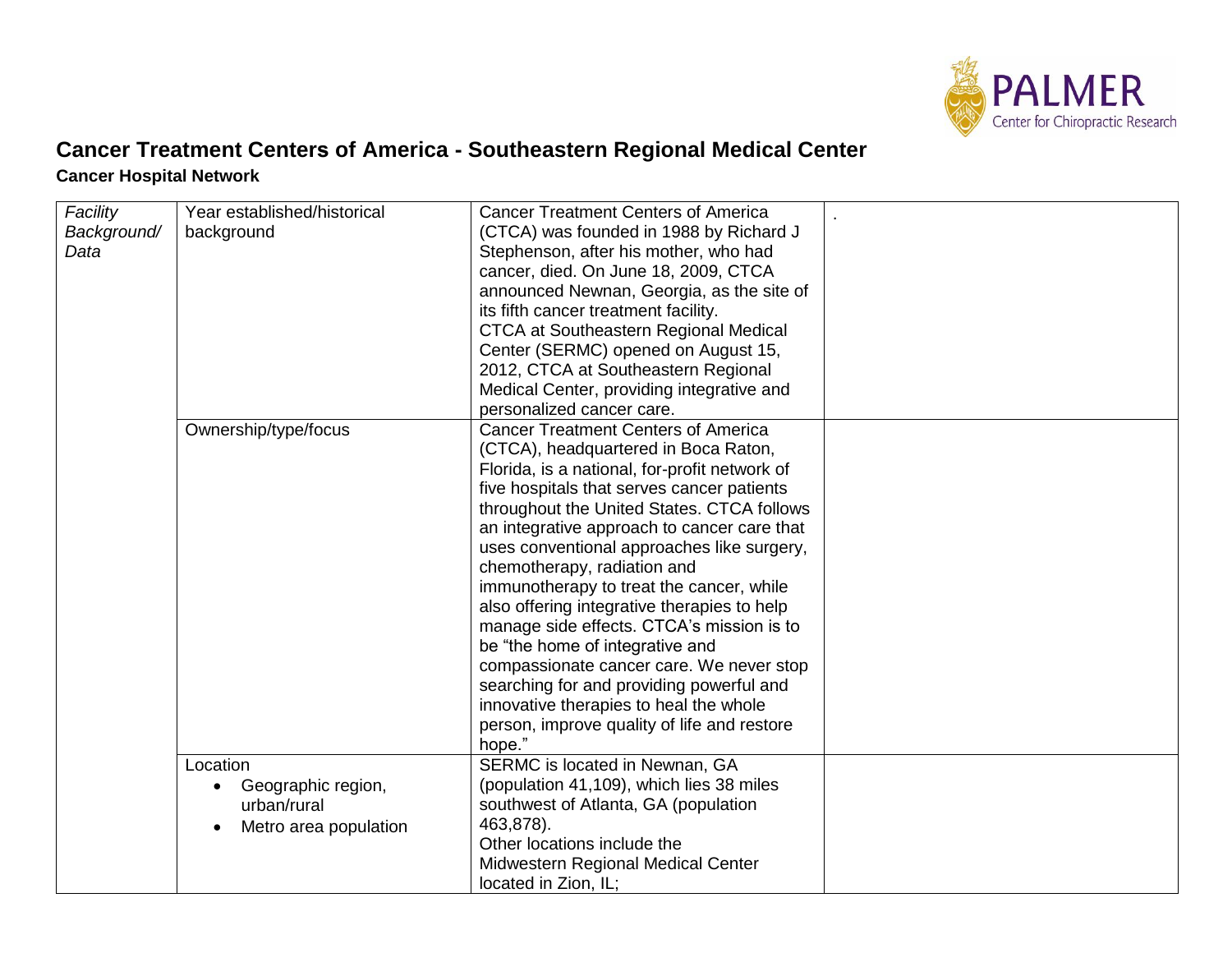

## **Cancer Treatment Centers of America - Southeastern Regional Medical Center Cancer Hospital Network**

| Facility<br>Background/<br>Data | Year established/historical<br>background                              | <b>Cancer Treatment Centers of America</b><br>(CTCA) was founded in 1988 by Richard J<br>Stephenson, after his mother, who had<br>cancer, died. On June 18, 2009, CTCA<br>announced Newnan, Georgia, as the site of<br>its fifth cancer treatment facility.<br><b>CTCA at Southeastern Regional Medical</b><br>Center (SERMC) opened on August 15,<br>2012, CTCA at Southeastern Regional<br>Medical Center, providing integrative and<br>personalized cancer care.                                                                                                                                                                                                                                                               |  |
|---------------------------------|------------------------------------------------------------------------|-----------------------------------------------------------------------------------------------------------------------------------------------------------------------------------------------------------------------------------------------------------------------------------------------------------------------------------------------------------------------------------------------------------------------------------------------------------------------------------------------------------------------------------------------------------------------------------------------------------------------------------------------------------------------------------------------------------------------------------|--|
|                                 | Ownership/type/focus                                                   | <b>Cancer Treatment Centers of America</b><br>(CTCA), headquartered in Boca Raton,<br>Florida, is a national, for-profit network of<br>five hospitals that serves cancer patients<br>throughout the United States. CTCA follows<br>an integrative approach to cancer care that<br>uses conventional approaches like surgery,<br>chemotherapy, radiation and<br>immunotherapy to treat the cancer, while<br>also offering integrative therapies to help<br>manage side effects. CTCA's mission is to<br>be "the home of integrative and<br>compassionate cancer care. We never stop<br>searching for and providing powerful and<br>innovative therapies to heal the whole<br>person, improve quality of life and restore<br>hope." |  |
|                                 | Location<br>Geographic region,<br>urban/rural<br>Metro area population | SERMC is located in Newnan, GA<br>(population 41,109), which lies 38 miles<br>southwest of Atlanta, GA (population<br>463,878).<br>Other locations include the<br>Midwestern Regional Medical Center<br>located in Zion, IL;                                                                                                                                                                                                                                                                                                                                                                                                                                                                                                      |  |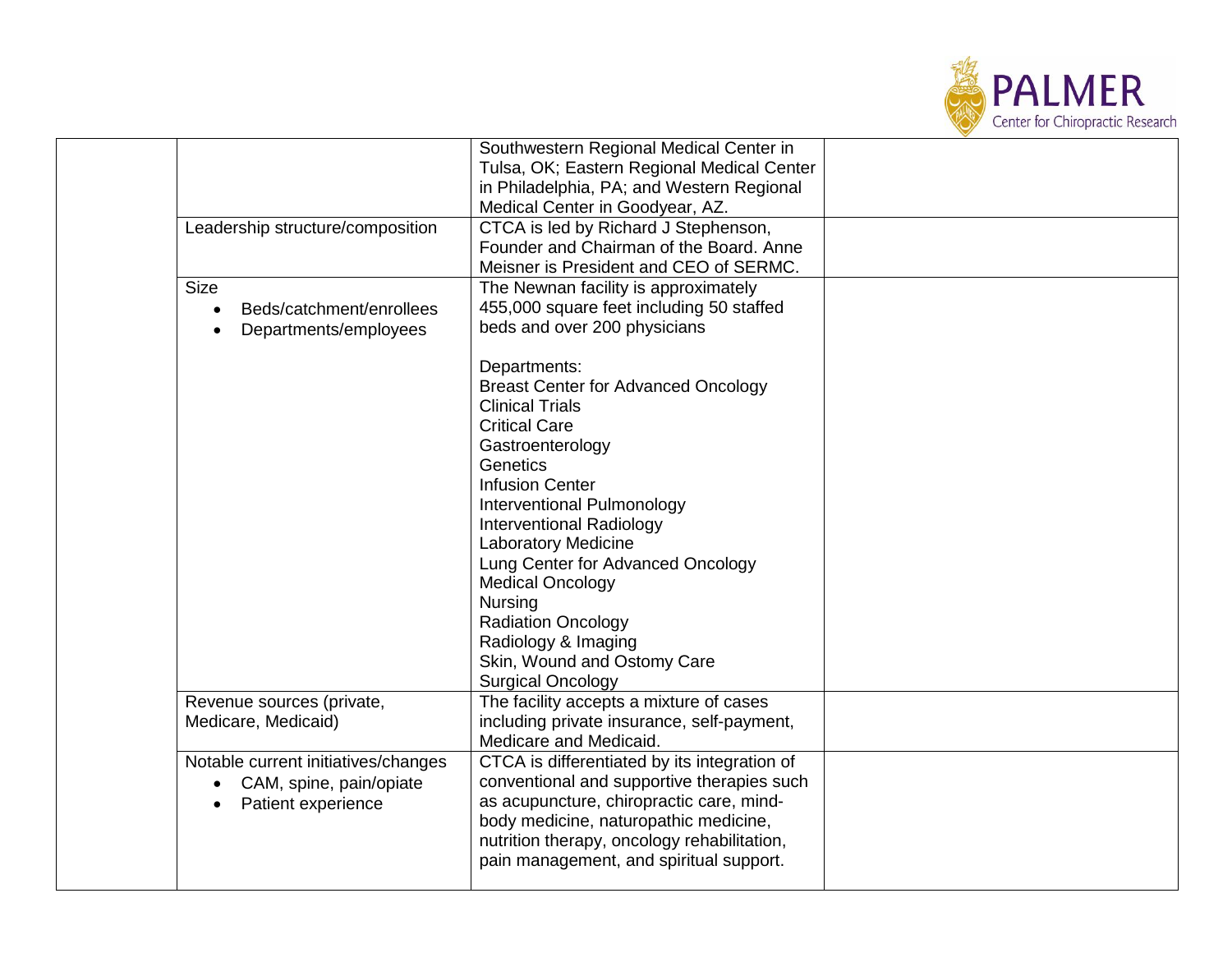

|                                      | Southwestern Regional Medical Center in      |  |
|--------------------------------------|----------------------------------------------|--|
|                                      | Tulsa, OK; Eastern Regional Medical Center   |  |
|                                      | in Philadelphia, PA; and Western Regional    |  |
|                                      | Medical Center in Goodyear, AZ.              |  |
| Leadership structure/composition     | CTCA is led by Richard J Stephenson,         |  |
|                                      | Founder and Chairman of the Board. Anne      |  |
|                                      | Meisner is President and CEO of SERMC.       |  |
| <b>Size</b>                          | The Newnan facility is approximately         |  |
| Beds/catchment/enrollees             | 455,000 square feet including 50 staffed     |  |
| Departments/employees                | beds and over 200 physicians                 |  |
|                                      |                                              |  |
|                                      | Departments:                                 |  |
|                                      | <b>Breast Center for Advanced Oncology</b>   |  |
|                                      | <b>Clinical Trials</b>                       |  |
|                                      | <b>Critical Care</b>                         |  |
|                                      |                                              |  |
|                                      | Gastroenterology<br>Genetics                 |  |
|                                      |                                              |  |
|                                      | <b>Infusion Center</b>                       |  |
|                                      | Interventional Pulmonology                   |  |
|                                      | <b>Interventional Radiology</b>              |  |
|                                      | <b>Laboratory Medicine</b>                   |  |
|                                      | Lung Center for Advanced Oncology            |  |
|                                      | <b>Medical Oncology</b>                      |  |
|                                      | <b>Nursing</b>                               |  |
|                                      | <b>Radiation Oncology</b>                    |  |
|                                      | Radiology & Imaging                          |  |
|                                      | Skin, Wound and Ostomy Care                  |  |
|                                      | <b>Surgical Oncology</b>                     |  |
| Revenue sources (private,            | The facility accepts a mixture of cases      |  |
| Medicare, Medicaid)                  | including private insurance, self-payment,   |  |
|                                      | Medicare and Medicaid.                       |  |
| Notable current initiatives/changes  | CTCA is differentiated by its integration of |  |
| CAM, spine, pain/opiate<br>$\bullet$ | conventional and supportive therapies such   |  |
| Patient experience                   | as acupuncture, chiropractic care, mind-     |  |
|                                      | body medicine, naturopathic medicine,        |  |
|                                      | nutrition therapy, oncology rehabilitation,  |  |
|                                      | pain management, and spiritual support.      |  |
|                                      |                                              |  |
|                                      |                                              |  |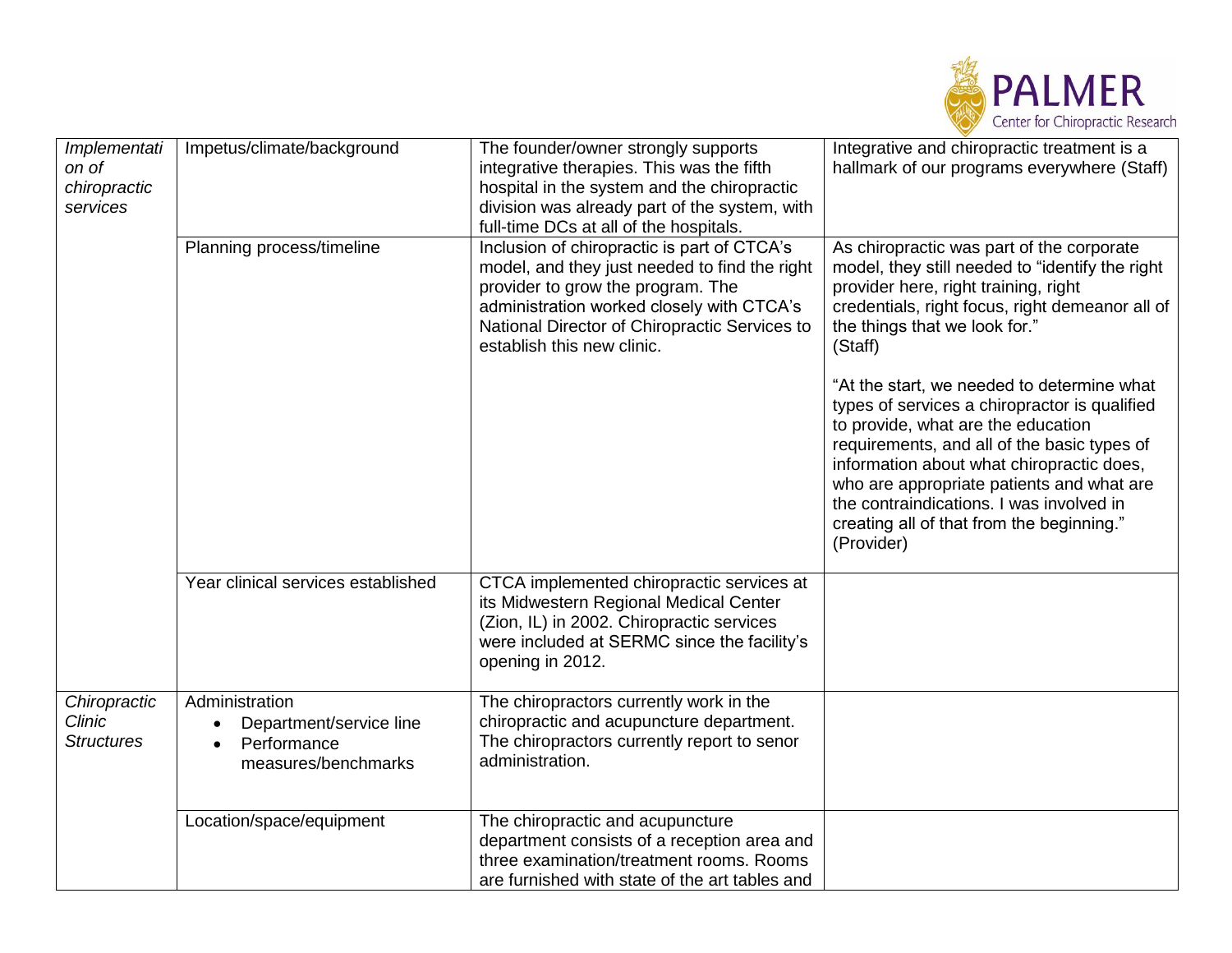

| Implementati<br>on of<br>chiropractic<br>services  | Impetus/climate/background                                                                   | The founder/owner strongly supports<br>integrative therapies. This was the fifth<br>hospital in the system and the chiropractic<br>division was already part of the system, with<br>full-time DCs at all of the hospitals.                                    | Integrative and chiropractic treatment is a<br>hallmark of our programs everywhere (Staff)                                                                                                                                                                                                                                                                                        |
|----------------------------------------------------|----------------------------------------------------------------------------------------------|---------------------------------------------------------------------------------------------------------------------------------------------------------------------------------------------------------------------------------------------------------------|-----------------------------------------------------------------------------------------------------------------------------------------------------------------------------------------------------------------------------------------------------------------------------------------------------------------------------------------------------------------------------------|
|                                                    | Planning process/timeline                                                                    | Inclusion of chiropractic is part of CTCA's<br>model, and they just needed to find the right<br>provider to grow the program. The<br>administration worked closely with CTCA's<br>National Director of Chiropractic Services to<br>establish this new clinic. | As chiropractic was part of the corporate<br>model, they still needed to "identify the right<br>provider here, right training, right<br>credentials, right focus, right demeanor all of<br>the things that we look for."<br>(Staff)                                                                                                                                               |
|                                                    |                                                                                              |                                                                                                                                                                                                                                                               | "At the start, we needed to determine what<br>types of services a chiropractor is qualified<br>to provide, what are the education<br>requirements, and all of the basic types of<br>information about what chiropractic does,<br>who are appropriate patients and what are<br>the contraindications. I was involved in<br>creating all of that from the beginning."<br>(Provider) |
|                                                    | Year clinical services established                                                           | CTCA implemented chiropractic services at<br>its Midwestern Regional Medical Center<br>(Zion, IL) in 2002. Chiropractic services<br>were included at SERMC since the facility's<br>opening in 2012.                                                           |                                                                                                                                                                                                                                                                                                                                                                                   |
| Chiropractic<br><b>Clinic</b><br><b>Structures</b> | Administration<br>Department/service line<br>Performance<br>$\bullet$<br>measures/benchmarks | The chiropractors currently work in the<br>chiropractic and acupuncture department.<br>The chiropractors currently report to senor<br>administration.                                                                                                         |                                                                                                                                                                                                                                                                                                                                                                                   |
|                                                    | Location/space/equipment                                                                     | The chiropractic and acupuncture<br>department consists of a reception area and<br>three examination/treatment rooms. Rooms<br>are furnished with state of the art tables and                                                                                 |                                                                                                                                                                                                                                                                                                                                                                                   |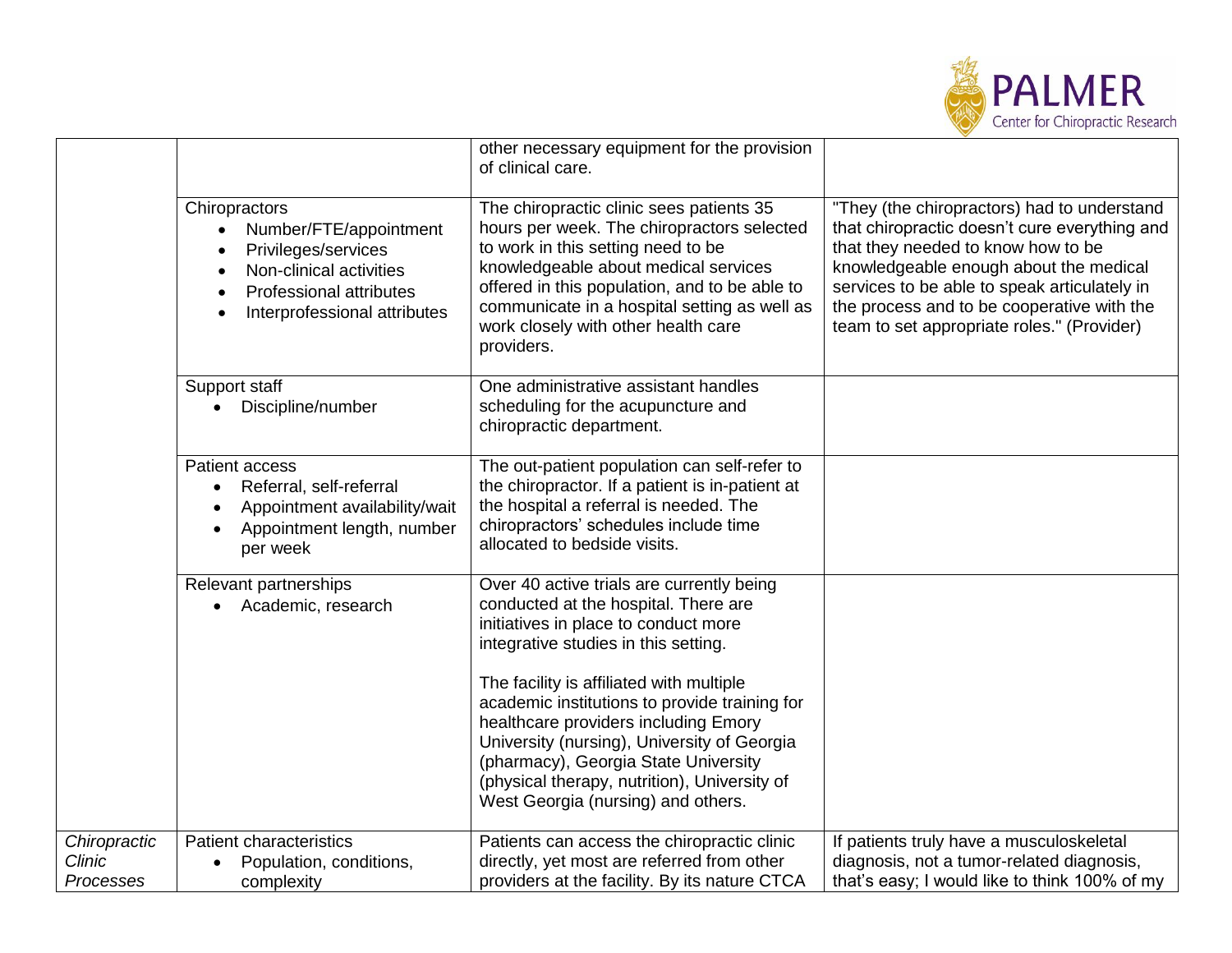

|                                            |                                                                                                                                                             | other necessary equipment for the provision<br>of clinical care.                                                                                                                                                                                                                                                           |                                                                                                                                                                                                                                                                                                                          |
|--------------------------------------------|-------------------------------------------------------------------------------------------------------------------------------------------------------------|----------------------------------------------------------------------------------------------------------------------------------------------------------------------------------------------------------------------------------------------------------------------------------------------------------------------------|--------------------------------------------------------------------------------------------------------------------------------------------------------------------------------------------------------------------------------------------------------------------------------------------------------------------------|
|                                            | Chiropractors<br>Number/FTE/appointment<br>Privileges/services<br>Non-clinical activities<br><b>Professional attributes</b><br>Interprofessional attributes | The chiropractic clinic sees patients 35<br>hours per week. The chiropractors selected<br>to work in this setting need to be<br>knowledgeable about medical services<br>offered in this population, and to be able to<br>communicate in a hospital setting as well as<br>work closely with other health care<br>providers. | "They (the chiropractors) had to understand<br>that chiropractic doesn't cure everything and<br>that they needed to know how to be<br>knowledgeable enough about the medical<br>services to be able to speak articulately in<br>the process and to be cooperative with the<br>team to set appropriate roles." (Provider) |
|                                            | Support staff<br>Discipline/number                                                                                                                          | One administrative assistant handles<br>scheduling for the acupuncture and<br>chiropractic department.                                                                                                                                                                                                                     |                                                                                                                                                                                                                                                                                                                          |
|                                            | Patient access<br>Referral, self-referral<br>$\bullet$<br>Appointment availability/wait<br>Appointment length, number<br>per week                           | The out-patient population can self-refer to<br>the chiropractor. If a patient is in-patient at<br>the hospital a referral is needed. The<br>chiropractors' schedules include time<br>allocated to bedside visits.                                                                                                         |                                                                                                                                                                                                                                                                                                                          |
|                                            | Relevant partnerships<br>Academic, research                                                                                                                 | Over 40 active trials are currently being<br>conducted at the hospital. There are<br>initiatives in place to conduct more<br>integrative studies in this setting.                                                                                                                                                          |                                                                                                                                                                                                                                                                                                                          |
|                                            |                                                                                                                                                             | The facility is affiliated with multiple<br>academic institutions to provide training for<br>healthcare providers including Emory<br>University (nursing), University of Georgia<br>(pharmacy), Georgia State University<br>(physical therapy, nutrition), University of<br>West Georgia (nursing) and others.             |                                                                                                                                                                                                                                                                                                                          |
| Chiropractic<br><b>Clinic</b><br>Processes | <b>Patient characteristics</b><br>Population, conditions,<br>complexity                                                                                     | Patients can access the chiropractic clinic<br>directly, yet most are referred from other<br>providers at the facility. By its nature CTCA                                                                                                                                                                                 | If patients truly have a musculoskeletal<br>diagnosis, not a tumor-related diagnosis,<br>that's easy; I would like to think 100% of my                                                                                                                                                                                   |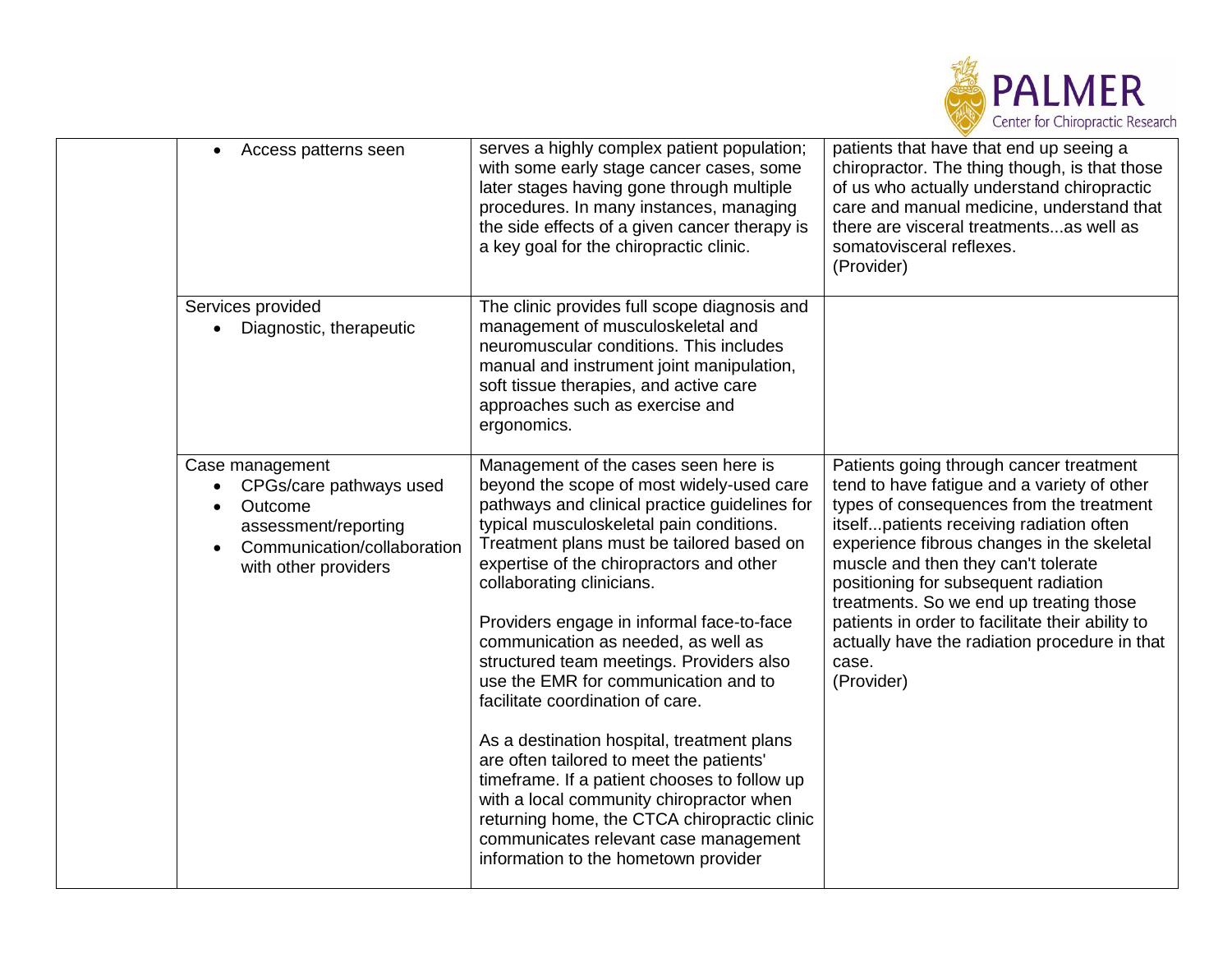

| Access patterns seen<br>$\bullet$                                                                                                                 | serves a highly complex patient population;<br>with some early stage cancer cases, some<br>later stages having gone through multiple<br>procedures. In many instances, managing<br>the side effects of a given cancer therapy is<br>a key goal for the chiropractic clinic.                                                                                                                                                                                                                                                                                                                                                                                                                                                                                                                                                             | patients that have that end up seeing a<br>chiropractor. The thing though, is that those<br>of us who actually understand chiropractic<br>care and manual medicine, understand that<br>there are visceral treatmentsas well as<br>somatovisceral reflexes.<br>(Provider)                                                                                                                                                                                                           |
|---------------------------------------------------------------------------------------------------------------------------------------------------|-----------------------------------------------------------------------------------------------------------------------------------------------------------------------------------------------------------------------------------------------------------------------------------------------------------------------------------------------------------------------------------------------------------------------------------------------------------------------------------------------------------------------------------------------------------------------------------------------------------------------------------------------------------------------------------------------------------------------------------------------------------------------------------------------------------------------------------------|------------------------------------------------------------------------------------------------------------------------------------------------------------------------------------------------------------------------------------------------------------------------------------------------------------------------------------------------------------------------------------------------------------------------------------------------------------------------------------|
| Services provided<br>Diagnostic, therapeutic                                                                                                      | The clinic provides full scope diagnosis and<br>management of musculoskeletal and<br>neuromuscular conditions. This includes<br>manual and instrument joint manipulation,<br>soft tissue therapies, and active care<br>approaches such as exercise and<br>ergonomics.                                                                                                                                                                                                                                                                                                                                                                                                                                                                                                                                                                   |                                                                                                                                                                                                                                                                                                                                                                                                                                                                                    |
| Case management<br>CPGs/care pathways used<br>Outcome<br>$\bullet$<br>assessment/reporting<br>Communication/collaboration<br>with other providers | Management of the cases seen here is<br>beyond the scope of most widely-used care<br>pathways and clinical practice guidelines for<br>typical musculoskeletal pain conditions.<br>Treatment plans must be tailored based on<br>expertise of the chiropractors and other<br>collaborating clinicians.<br>Providers engage in informal face-to-face<br>communication as needed, as well as<br>structured team meetings. Providers also<br>use the EMR for communication and to<br>facilitate coordination of care.<br>As a destination hospital, treatment plans<br>are often tailored to meet the patients'<br>timeframe. If a patient chooses to follow up<br>with a local community chiropractor when<br>returning home, the CTCA chiropractic clinic<br>communicates relevant case management<br>information to the hometown provider | Patients going through cancer treatment<br>tend to have fatigue and a variety of other<br>types of consequences from the treatment<br>itselfpatients receiving radiation often<br>experience fibrous changes in the skeletal<br>muscle and then they can't tolerate<br>positioning for subsequent radiation<br>treatments. So we end up treating those<br>patients in order to facilitate their ability to<br>actually have the radiation procedure in that<br>case.<br>(Provider) |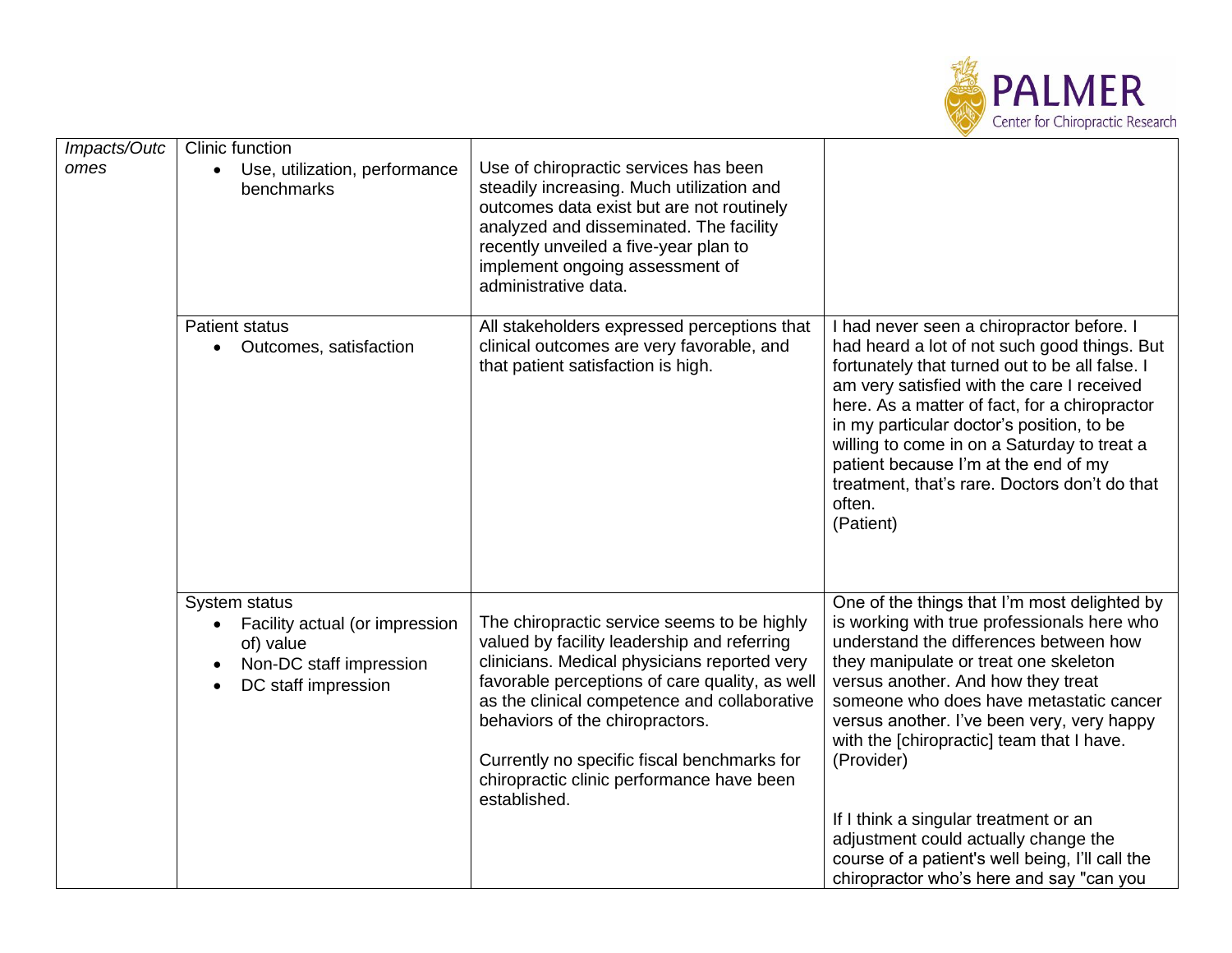

| Impacts/Outc | Clinic function                                                                                                                          |                                                                                                                                                                                                                                                                                                                                                                                             |                                                                                                                                                                                                                                                                                                                                                                                                                                                                                                                                                          |
|--------------|------------------------------------------------------------------------------------------------------------------------------------------|---------------------------------------------------------------------------------------------------------------------------------------------------------------------------------------------------------------------------------------------------------------------------------------------------------------------------------------------------------------------------------------------|----------------------------------------------------------------------------------------------------------------------------------------------------------------------------------------------------------------------------------------------------------------------------------------------------------------------------------------------------------------------------------------------------------------------------------------------------------------------------------------------------------------------------------------------------------|
| omes         | Use, utilization, performance<br>benchmarks                                                                                              | Use of chiropractic services has been<br>steadily increasing. Much utilization and<br>outcomes data exist but are not routinely<br>analyzed and disseminated. The facility<br>recently unveiled a five-year plan to<br>implement ongoing assessment of<br>administrative data.                                                                                                              |                                                                                                                                                                                                                                                                                                                                                                                                                                                                                                                                                          |
|              | <b>Patient status</b><br>Outcomes, satisfaction                                                                                          | All stakeholders expressed perceptions that<br>clinical outcomes are very favorable, and<br>that patient satisfaction is high.                                                                                                                                                                                                                                                              | I had never seen a chiropractor before. I<br>had heard a lot of not such good things. But<br>fortunately that turned out to be all false. I<br>am very satisfied with the care I received<br>here. As a matter of fact, for a chiropractor<br>in my particular doctor's position, to be<br>willing to come in on a Saturday to treat a<br>patient because I'm at the end of my<br>treatment, that's rare. Doctors don't do that<br>often.<br>(Patient)                                                                                                   |
|              | System status<br>Facility actual (or impression<br>of) value<br>Non-DC staff impression<br>$\bullet$<br>DC staff impression<br>$\bullet$ | The chiropractic service seems to be highly<br>valued by facility leadership and referring<br>clinicians. Medical physicians reported very<br>favorable perceptions of care quality, as well<br>as the clinical competence and collaborative<br>behaviors of the chiropractors.<br>Currently no specific fiscal benchmarks for<br>chiropractic clinic performance have been<br>established. | One of the things that I'm most delighted by<br>is working with true professionals here who<br>understand the differences between how<br>they manipulate or treat one skeleton<br>versus another. And how they treat<br>someone who does have metastatic cancer<br>versus another. I've been very, very happy<br>with the [chiropractic] team that I have.<br>(Provider)<br>If I think a singular treatment or an<br>adjustment could actually change the<br>course of a patient's well being, I'll call the<br>chiropractor who's here and say "can you |